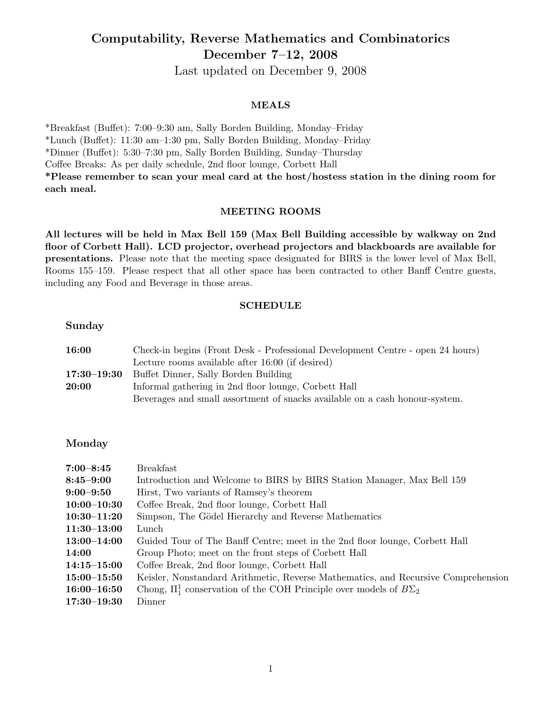# Computability, Reverse Mathematics and Combinatorics December 7–12, 2008

Last updated on December 9, 2008

## MEALS

\*Breakfast (Buffet): 7:00–9:30 am, Sally Borden Building, Monday–Friday \*Lunch (Buffet): 11:30 am–1:30 pm, Sally Borden Building, Monday–Friday \*Dinner (Buffet): 5:30–7:30 pm, Sally Borden Building, Sunday–Thursday Coffee Breaks: As per daily schedule, 2nd floor lounge, Corbett Hall \*Please remember to scan your meal card at the host/hostess station in the dining room for each meal.

## MEETING ROOMS

All lectures will be held in Max Bell 159 (Max Bell Building accessible by walkway on 2nd floor of Corbett Hall). LCD projector, overhead projectors and blackboards are available for presentations. Please note that the meeting space designated for BIRS is the lower level of Max Bell, Rooms 155–159. Please respect that all other space has been contracted to other Banff Centre guests, including any Food and Beverage in those areas.

## SCHEDULE

Sunday

| 16:00 | Check-in begins (Front Desk - Professional Development Centre - open 24 hours) |
|-------|--------------------------------------------------------------------------------|
|       | Lecture rooms available after 16:00 (if desired)                               |
|       | 17:30–19:30 Buffet Dinner, Sally Borden Building                               |
| 20:00 | Informal gathering in 2nd floor lounge, Corbett Hall                           |
|       | Beverages and small assortment of snacks available on a cash honour-system.    |

## Monday

| $7:00 - 8:45$   | <b>Breakfast</b>                                                                  |
|-----------------|-----------------------------------------------------------------------------------|
| $8:45 - 9:00$   | Introduction and Welcome to BIRS by BIRS Station Manager, Max Bell 159            |
| $9:00 - 9:50$   | Hirst, Two variants of Ramsey's theorem                                           |
| $10:00 - 10:30$ | Coffee Break, 2nd floor lounge, Corbett Hall                                      |
| $10:30 - 11:20$ | Simpson, The Gödel Hierarchy and Reverse Mathematics                              |
| $11:30 - 13:00$ | Lunch                                                                             |
| $13:00 - 14:00$ | Guided Tour of The Banff Centre; meet in the 2nd floor lounge, Corbett Hall       |
| 14:00           | Group Photo; meet on the front steps of Corbett Hall                              |
| $14:15 - 15:00$ | Coffee Break, 2nd floor lounge, Corbett Hall                                      |
| $15:00 - 15:50$ | Keisler, Nonstandard Arithmetic, Reverse Mathematics, and Recursive Comprehension |
| $16:00 - 16:50$ | Chong, $\Pi_1^1$ conservation of the COH Principle over models of $B\Sigma_2$     |
| $17:30 - 19:30$ | Dinner                                                                            |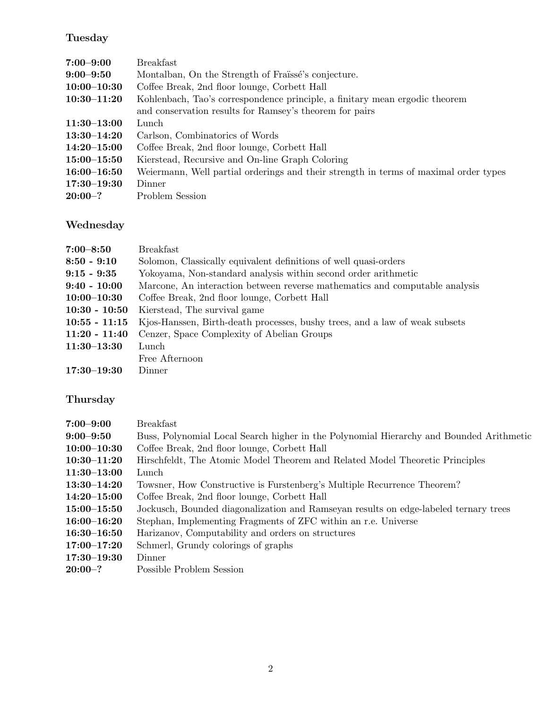# Tuesday

| $7:00 - 9:00$   | <b>Breakfast</b>                                                                     |  |
|-----------------|--------------------------------------------------------------------------------------|--|
| $9:00 - 9:50$   | Montalban, On the Strength of Fraïssé's conjecture.                                  |  |
| $10:00 - 10:30$ | Coffee Break, 2nd floor lounge, Corbett Hall                                         |  |
| $10:30 - 11:20$ | Kohlenbach, Tao's correspondence principle, a finitary mean ergodic theorem          |  |
|                 | and conservation results for Ramsey's theorem for pairs                              |  |
| $11:30 - 13:00$ | Lunch                                                                                |  |
| $13:30 - 14:20$ | Carlson, Combinatorics of Words                                                      |  |
| $14:20 - 15:00$ | Coffee Break, 2nd floor lounge, Corbett Hall                                         |  |
| $15:00 - 15:50$ | Kierstead, Recursive and On-line Graph Coloring                                      |  |
| $16:00 - 16:50$ | Weiermann, Well partial orderings and their strength in terms of maximal order types |  |
| $17:30 - 19:30$ | Dinner                                                                               |  |
| $20:00-?$       | Problem Session                                                                      |  |

# Wednesday

| $7:00 - 8:50$   | <b>Breakfast</b>                                                            |  |
|-----------------|-----------------------------------------------------------------------------|--|
| $8:50 - 9:10$   | Solomon, Classically equivalent definitions of well quasi-orders            |  |
| $9:15 - 9:35$   | Yokoyama, Non-standard analysis within second order arithmetic              |  |
| $9:40 - 10:00$  | Marcone, An interaction between reverse mathematics and computable analysis |  |
| $10:00 - 10:30$ | Coffee Break, 2nd floor lounge, Corbett Hall                                |  |
| $10:30 - 10:50$ | Kierstead, The survival game                                                |  |
| $10:55 - 11:15$ | Kjos-Hanssen, Birth-death processes, bushy trees, and a law of weak subsets |  |
| $11:20 - 11:40$ | Cenzer, Space Complexity of Abelian Groups                                  |  |
| $11:30-13:30$   | Lunch                                                                       |  |
|                 | Free Afternoon                                                              |  |
| $17:30 - 19:30$ | Dinner                                                                      |  |

## Thursday

| $7:00 - 9:00$   | <b>Breakfast</b>                                                                        |
|-----------------|-----------------------------------------------------------------------------------------|
| $9:00 - 9:50$   | Buss, Polynomial Local Search higher in the Polynomial Hierarchy and Bounded Arithmetic |
| $10:00 - 10:30$ | Coffee Break, 2nd floor lounge, Corbett Hall                                            |
| $10:30 - 11:20$ | Hirschfeldt, The Atomic Model Theorem and Related Model Theoretic Principles            |
| $11:30 - 13:00$ | Lunch                                                                                   |
| $13:30-14:20$   | Towsner, How Constructive is Furstenberg's Multiple Recurrence Theorem?                 |
| $14:20 - 15:00$ | Coffee Break, 2nd floor lounge, Corbett Hall                                            |
| $15:00 - 15:50$ | Jockusch, Bounded diagonalization and Ramseyan results on edge-labeled ternary trees    |
| $16:00 - 16:20$ | Stephan, Implementing Fragments of ZFC within an r.e. Universe                          |
| $16:30 - 16:50$ | Harizanov, Computability and orders on structures                                       |
| $17:00 - 17:20$ | Schmerl, Grundy colorings of graphs                                                     |
| $17:30 - 19:30$ | Dinner                                                                                  |
| $20:00-?$       | Possible Problem Session                                                                |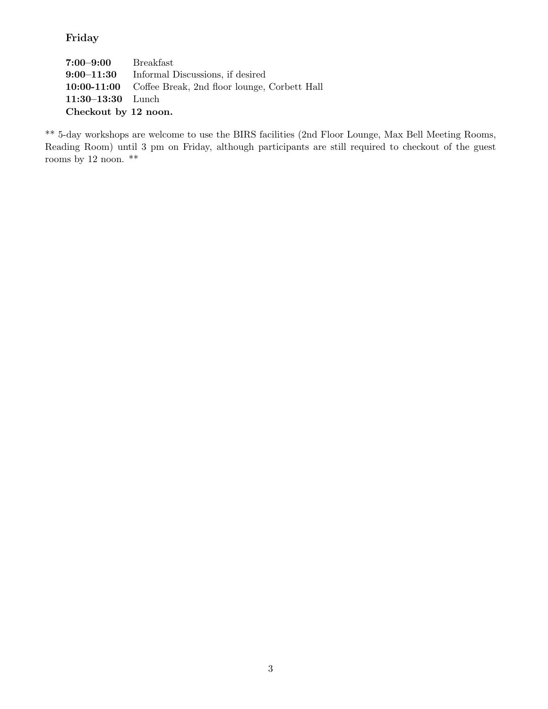## Friday

| $7\mathord{:}00\mathord{-}9\mathord{:}00$ | Breakfast                                                |
|-------------------------------------------|----------------------------------------------------------|
|                                           | 9:00–11:30 Informal Discussions, if desired              |
|                                           | 10:00-11:00 Coffee Break, 2nd floor lounge, Corbett Hall |
| $11:30-13:30$ Lunch                       |                                                          |
| Checkout by 12 noon.                      |                                                          |

\*\* 5-day workshops are welcome to use the BIRS facilities (2nd Floor Lounge, Max Bell Meeting Rooms, Reading Room) until 3 pm on Friday, although participants are still required to checkout of the guest rooms by 12 noon.  $**$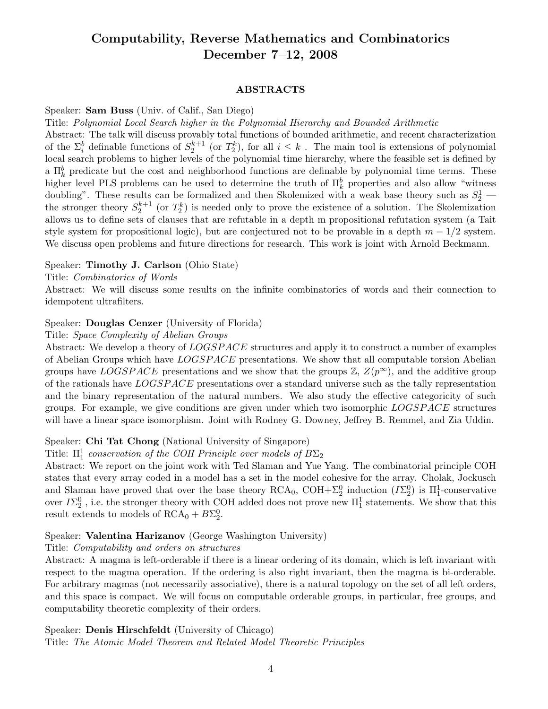## Computability, Reverse Mathematics and Combinatorics December 7–12, 2008

#### ABSTRACTS

Speaker: Sam Buss (Univ. of Calif., San Diego)

Title: Polynomial Local Search higher in the Polynomial Hierarchy and Bounded Arithmetic

Abstract: The talk will discuss provably total functions of bounded arithmetic, and recent characterization of the  $\Sigma_i^b$  definable functions of  $S_2^{k+1}$  (or  $T_2^k$ ), for all  $i \leq k$ . The main tool is extensions of polynomial local search problems to higher levels of the polynomial time hierarchy, where the feasible set is defined by a  $\Pi_k^b$  predicate but the cost and neighborhood functions are definable by polynomial time terms. These higher level PLS problems can be used to determine the truth of  $\Pi_k^b$  properties and also allow "witness" doubling". These results can be formalized and then Skolemized with a weak base theory such as  $S_2^1$  – the stronger theory  $S_2^{k+1}$  (or  $T_2^k$ ) is needed only to prove the existence of a solution. The Skolemization allows us to define sets of clauses that are refutable in a depth m propositional refutation system (a Tait style system for propositional logic), but are conjectured not to be provable in a depth  $m - 1/2$  system. We discuss open problems and future directions for research. This work is joint with Arnold Beckmann.

#### Speaker: Timothy J. Carlson (Ohio State)

Title: Combinatorics of Words

Abstract: We will discuss some results on the infinite combinatorics of words and their connection to idempotent ultrafilters.

#### Speaker: Douglas Cenzer (University of Florida)

Title: Space Complexity of Abelian Groups

Abstract: We develop a theory of  $LOGSPACE$  structures and apply it to construct a number of examples of Abelian Groups which have LOGSPACE presentations. We show that all computable torsion Abelian groups have LOGSPACE presentations and we show that the groups  $\mathbb{Z}, Z(p^{\infty})$ , and the additive group of the rationals have LOGSP ACE presentations over a standard universe such as the tally representation and the binary representation of the natural numbers. We also study the effective categoricity of such groups. For example, we give conditions are given under which two isomorphic LOGSPACE structures will have a linear space isomorphism. Joint with Rodney G. Downey, Jeffrey B. Remmel, and Zia Uddin.

### Speaker: Chi Tat Chong (National University of Singapore)

Title:  $\Pi_1^1$  conservation of the COH Principle over models of  $B\Sigma_2$ 

Abstract: We report on the joint work with Ted Slaman and Yue Yang. The combinatorial principle COH states that every array coded in a model has a set in the model cohesive for the array. Cholak, Jockusch and Slaman have proved that over the base theory  $RCA_0$ ,  $COH + \Sigma_2^0$  induction  $(I\Sigma_2^0)$  is  $\Pi_1^1$ -conservative over  $I\Sigma^0_2$  , i.e. the stronger theory with COH added does not prove new  $\Pi^1_1$  statements. We show that this result extends to models of  $RCA_0 + B\Sigma_2^0$ .

## Speaker: Valentina Harizanov (George Washington University)

Title: Computability and orders on structures

Abstract: A magma is left-orderable if there is a linear ordering of its domain, which is left invariant with respect to the magma operation. If the ordering is also right invariant, then the magma is bi-orderable. For arbitrary magmas (not necessarily associative), there is a natural topology on the set of all left orders, and this space is compact. We will focus on computable orderable groups, in particular, free groups, and computability theoretic complexity of their orders.

### Speaker: Denis Hirschfeldt (University of Chicago)

Title: The Atomic Model Theorem and Related Model Theoretic Principles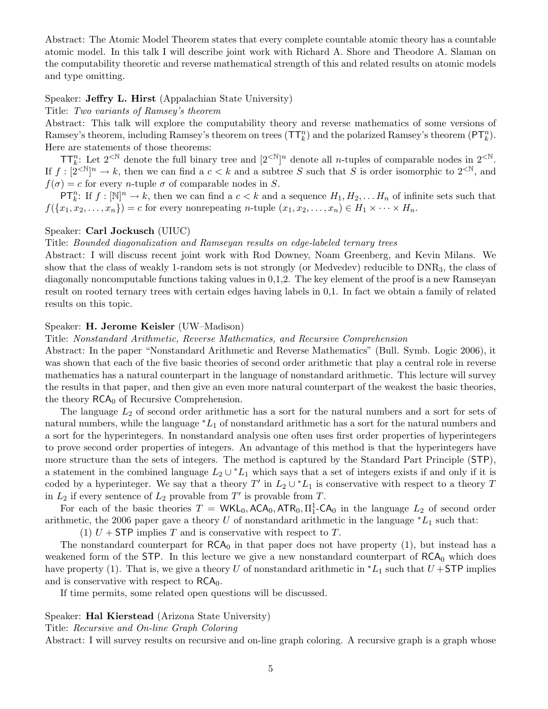Abstract: The Atomic Model Theorem states that every complete countable atomic theory has a countable atomic model. In this talk I will describe joint work with Richard A. Shore and Theodore A. Slaman on the computability theoretic and reverse mathematical strength of this and related results on atomic models and type omitting.

### Speaker: Jeffry L. Hirst (Appalachian State University)

#### Title: Two variants of Ramsey's theorem

Abstract: This talk will explore the computability theory and reverse mathematics of some versions of Ramsey's theorem, including Ramsey's theorem on trees  $(\mathsf{T} \mathsf{T}^n_k)$  and the polarized Ramsey's theorem  $(\mathsf{PT}^n_k)$ . Here are statements of those theorems:

 $TT_k^n$ : Let  $2^{< N}$  denote the full binary tree and  $[2^{< N}]^n$  denote all *n*-tuples of comparable nodes in  $2^{< N}$ . If  $f: [2^{<\mathbb{N}}]^n \to k$ , then we can find a  $c < k$  and a subtree S such that S is order isomorphic to  $2^{<\mathbb{N}}$ , and  $f(\sigma) = c$  for every *n*-tuple  $\sigma$  of comparable nodes in S.

 $\mathsf{PT}_k^n$ : If  $f: [\mathbb{N}]^n \to k$ , then we can find a  $c < k$  and a sequence  $H_1, H_2, \ldots H_n$  of infinite sets such that  $f({x_1, x_2, \ldots, x_n}) = c$  for every nonrepeating *n*-tuple  $(x_1, x_2, \ldots, x_n) \in H_1 \times \cdots \times H_n$ .

#### Speaker: Carl Jockusch (UIUC)

#### Title: Bounded diagonalization and Ramseyan results on edge-labeled ternary trees

Abstract: I will discuss recent joint work with Rod Downey, Noam Greenberg, and Kevin Milans. We show that the class of weakly 1-random sets is not strongly (or Medvedev) reducible to DNR3, the class of diagonally noncomputable functions taking values in 0,1,2. The key element of the proof is a new Ramseyan result on rooted ternary trees with certain edges having labels in 0,1. In fact we obtain a family of related results on this topic.

#### Speaker: H. Jerome Keisler (UW–Madison)

#### Title: Nonstandard Arithmetic, Reverse Mathematics, and Recursive Comprehension

Abstract: In the paper "Nonstandard Arithmetic and Reverse Mathematics" (Bull. Symb. Logic 2006), it was shown that each of the five basic theories of second order arithmetic that play a central role in reverse mathematics has a natural counterpart in the language of nonstandard arithmetic. This lecture will survey the results in that paper, and then give an even more natural counterpart of the weakest the basic theories, the theory  $RCA_0$  of Recursive Comprehension.

The language  $L_2$  of second order arithmetic has a sort for the natural numbers and a sort for sets of natural numbers, while the language  $*L_1$  of nonstandard arithmetic has a sort for the natural numbers and a sort for the hyperintegers. In nonstandard analysis one often uses first order properties of hyperintegers to prove second order properties of integers. An advantage of this method is that the hyperintegers have more structure than the sets of integers. The method is captured by the Standard Part Principle (STP), a statement in the combined language  $L_2 \cup {}^*L_1$  which says that a set of integers exists if and only if it is coded by a hyperinteger. We say that a theory T' in  $L_2 \cup {}^*L_1$  is conservative with respect to a theory T in  $L_2$  if every sentence of  $L_2$  provable from T' is provable from T.

For each of the basic theories  $T = WKL_0$ ,  $ACA_0$ ,  $ATR_0$ ,  $\Pi_1^1$ - $CA_0$  in the language  $L_2$  of second order arithmetic, the 2006 paper gave a theory U of nonstandard arithmetic in the language  $'L_1$  such that:

(1)  $U +$  STP implies T and is conservative with respect to T.

The nonstandard counterpart for  $RCA_0$  in that paper does not have property (1), but instead has a weakened form of the STP. In this lecture we give a new nonstandard counterpart of  $RCA_0$  which does have property (1). That is, we give a theory U of nonstandard arithmetic in  $^*L_1$  such that  $U +$ STP implies and is conservative with respect to  $RCA<sub>0</sub>$ .

If time permits, some related open questions will be discussed.

#### Speaker: Hal Kierstead (Arizona State University)

Title: Recursive and On-line Graph Coloring

Abstract: I will survey results on recursive and on-line graph coloring. A recursive graph is a graph whose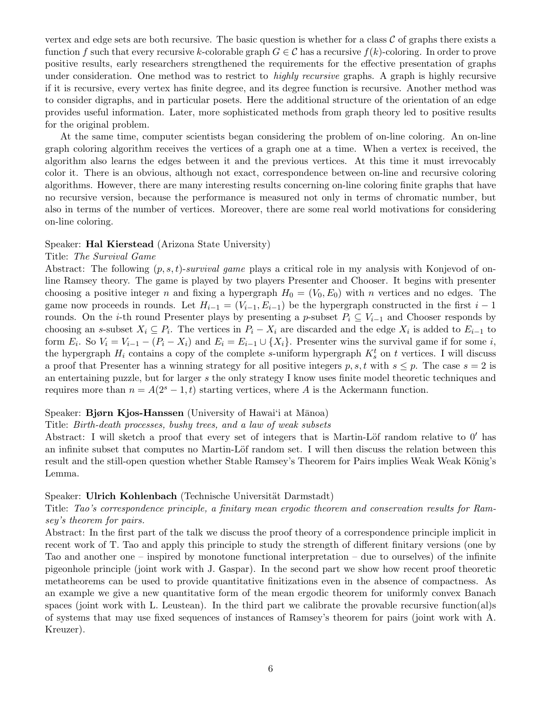vertex and edge sets are both recursive. The basic question is whether for a class  $\mathcal C$  of graphs there exists a function f such that every recursive k-colorable graph  $G \in \mathcal{C}$  has a recursive  $f(k)$ -coloring. In order to prove positive results, early researchers strengthened the requirements for the effective presentation of graphs under consideration. One method was to restrict to *highly recursive* graphs. A graph is highly recursive if it is recursive, every vertex has finite degree, and its degree function is recursive. Another method was to consider digraphs, and in particular posets. Here the additional structure of the orientation of an edge provides useful information. Later, more sophisticated methods from graph theory led to positive results for the original problem.

At the same time, computer scientists began considering the problem of on-line coloring. An on-line graph coloring algorithm receives the vertices of a graph one at a time. When a vertex is received, the algorithm also learns the edges between it and the previous vertices. At this time it must irrevocably color it. There is an obvious, although not exact, correspondence between on-line and recursive coloring algorithms. However, there are many interesting results concerning on-line coloring finite graphs that have no recursive version, because the performance is measured not only in terms of chromatic number, but also in terms of the number of vertices. Moreover, there are some real world motivations for considering on-line coloring.

#### Speaker: Hal Kierstead (Arizona State University)

#### Title: The Survival Game

Abstract: The following  $(p, s, t)$ -survival game plays a critical role in my analysis with Konjevod of online Ramsey theory. The game is played by two players Presenter and Chooser. It begins with presenter choosing a positive integer n and fixing a hypergraph  $H_0 = (V_0, E_0)$  with n vertices and no edges. The game now proceeds in rounds. Let  $H_{i-1} = (V_{i-1}, E_{i-1})$  be the hypergraph constructed in the first  $i-1$ rounds. On the *i*-th round Presenter plays by presenting a p-subset  $P_i \subseteq V_{i-1}$  and Chooser responds by choosing an s-subset  $X_i \subseteq P_i$ . The vertices in  $P_i - X_i$  are discarded and the edge  $X_i$  is added to  $E_{i-1}$  to form  $E_i$ . So  $V_i = V_{i-1} - (P_i - X_i)$  and  $E_i = E_{i-1} \cup \{X_i\}$ . Presenter wins the survival game if for some i, the hypergraph  $H_i$  contains a copy of the complete s-uniform hypergraph  $K_s^t$  on t vertices. I will discuss a proof that Presenter has a winning strategy for all positive integers  $p, s, t$  with  $s \leq p$ . The case  $s = 2$  is an entertaining puzzle, but for larger s the only strategy I know uses finite model theoretic techniques and requires more than  $n = A(2<sup>s</sup> - 1, t)$  starting vertices, where A is the Ackermann function.

#### Speaker: Bjørn Kjos-Hanssen (University of Hawai'i at Mānoa)

Title: Birth-death processes, bushy trees, and a law of weak subsets

Abstract: I will sketch a proof that every set of integers that is Martin-Löf random relative to  $0'$  has an infinite subset that computes no Martin-Löf random set. I will then discuss the relation between this result and the still-open question whether Stable Ramsey's Theorem for Pairs implies Weak Weak König's Lemma.

#### Speaker: Ulrich Kohlenbach (Technische Universität Darmstadt)

Title: Tao's correspondence principle, a finitary mean ergodic theorem and conservation results for Ramsey's theorem for pairs.

Abstract: In the first part of the talk we discuss the proof theory of a correspondence principle implicit in recent work of T. Tao and apply this principle to study the strength of different finitary versions (one by Tao and another one – inspired by monotone functional interpretation – due to ourselves) of the infinite pigeonhole principle (joint work with J. Gaspar). In the second part we show how recent proof theoretic metatheorems can be used to provide quantitative finitizations even in the absence of compactness. As an example we give a new quantitative form of the mean ergodic theorem for uniformly convex Banach spaces (joint work with L. Leustean). In the third part we calibrate the provable recursive function(al)s of systems that may use fixed sequences of instances of Ramsey's theorem for pairs (joint work with A. Kreuzer).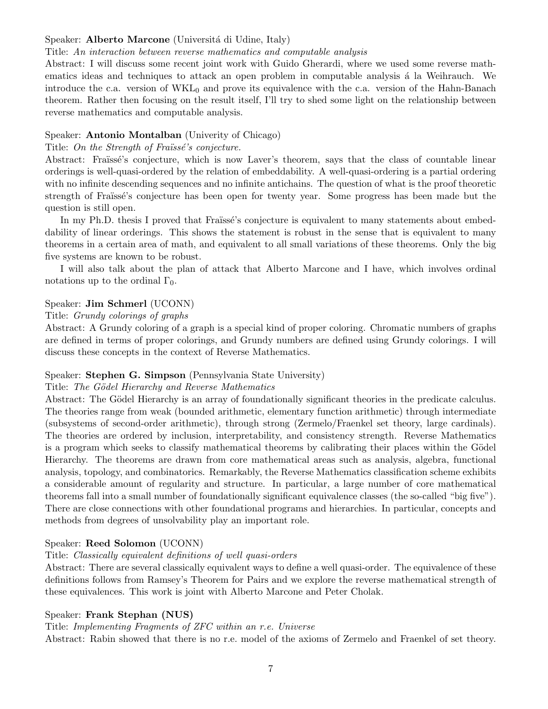## Speaker: Alberto Marcone (Universitá di Udine, Italy)

### Title: An interaction between reverse mathematics and computable analysis

Abstract: I will discuss some recent joint work with Guido Gherardi, where we used some reverse mathematics ideas and techniques to attack an open problem in computable analysis a la Weihrauch. We introduce the c.a. version of  $WKL_0$  and prove its equivalence with the c.a. version of the Hahn-Banach theorem. Rather then focusing on the result itself, I'll try to shed some light on the relationship between reverse mathematics and computable analysis.

## Speaker: Antonio Montalban (Univerity of Chicago)

## Title: On the Strength of Fraüssé's conjecture.

Abstract: Fraïssé's conjecture, which is now Laver's theorem, says that the class of countable linear orderings is well-quasi-ordered by the relation of embeddability. A well-quasi-ordering is a partial ordering with no infinite descending sequences and no infinite antichains. The question of what is the proof theoretic strength of Fraüssé's conjecture has been open for twenty year. Some progress has been made but the question is still open.

In my Ph.D. thesis I proved that Fraüssé's conjecture is equivalent to many statements about embeddability of linear orderings. This shows the statement is robust in the sense that is equivalent to many theorems in a certain area of math, and equivalent to all small variations of these theorems. Only the big five systems are known to be robust.

I will also talk about the plan of attack that Alberto Marcone and I have, which involves ordinal notations up to the ordinal  $\Gamma_0$ .

## Speaker: Jim Schmerl (UCONN)

## Title: Grundy colorings of graphs

Abstract: A Grundy coloring of a graph is a special kind of proper coloring. Chromatic numbers of graphs are defined in terms of proper colorings, and Grundy numbers are defined using Grundy colorings. I will discuss these concepts in the context of Reverse Mathematics.

## Speaker: Stephen G. Simpson (Pennsylvania State University)

## Title: The Gödel Hierarchy and Reverse Mathematics

Abstract: The Gödel Hierarchy is an array of foundationally significant theories in the predicate calculus. The theories range from weak (bounded arithmetic, elementary function arithmetic) through intermediate (subsystems of second-order arithmetic), through strong (Zermelo/Fraenkel set theory, large cardinals). The theories are ordered by inclusion, interpretability, and consistency strength. Reverse Mathematics is a program which seeks to classify mathematical theorems by calibrating their places within the Gödel Hierarchy. The theorems are drawn from core mathematical areas such as analysis, algebra, functional analysis, topology, and combinatorics. Remarkably, the Reverse Mathematics classification scheme exhibits a considerable amount of regularity and structure. In particular, a large number of core mathematical theorems fall into a small number of foundationally significant equivalence classes (the so-called "big five"). There are close connections with other foundational programs and hierarchies. In particular, concepts and methods from degrees of unsolvability play an important role.

## Speaker: Reed Solomon (UCONN)

## Title: Classically equivalent definitions of well quasi-orders

Abstract: There are several classically equivalent ways to define a well quasi-order. The equivalence of these definitions follows from Ramsey's Theorem for Pairs and we explore the reverse mathematical strength of these equivalences. This work is joint with Alberto Marcone and Peter Cholak.

## Speaker: Frank Stephan (NUS)

## Title: Implementing Fragments of ZFC within an r.e. Universe

Abstract: Rabin showed that there is no r.e. model of the axioms of Zermelo and Fraenkel of set theory.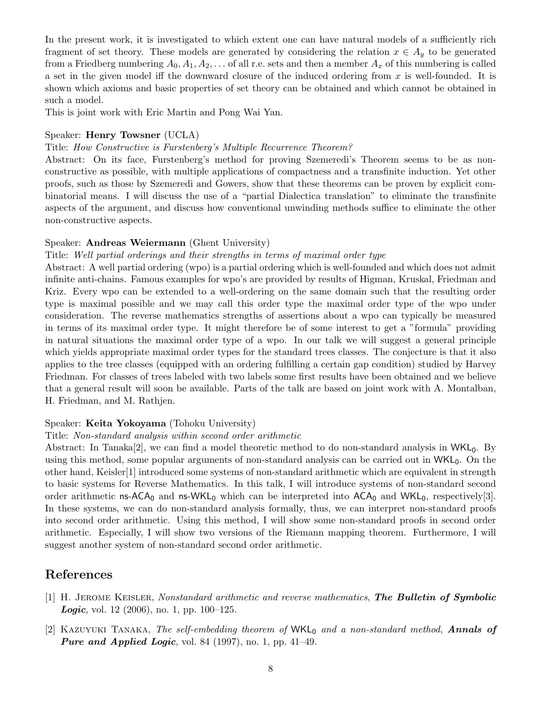In the present work, it is investigated to which extent one can have natural models of a sufficiently rich fragment of set theory. These models are generated by considering the relation  $x \in A_y$  to be generated from a Friedberg numbering  $A_0, A_1, A_2, \ldots$  of all r.e. sets and then a member  $A_x$  of this numbering is called a set in the given model iff the downward closure of the induced ordering from  $x$  is well-founded. It is shown which axioms and basic properties of set theory can be obtained and which cannot be obtained in such a model.

This is joint work with Eric Martin and Pong Wai Yan.

#### Speaker: Henry Towsner (UCLA)

## Title: How Constructive is Furstenberg's Multiple Recurrence Theorem?

Abstract: On its face, Furstenberg's method for proving Szemeredi's Theorem seems to be as nonconstructive as possible, with multiple applications of compactness and a transfinite induction. Yet other proofs, such as those by Szemeredi and Gowers, show that these theorems can be proven by explicit combinatorial means. I will discuss the use of a "partial Dialectica translation" to eliminate the transfinite aspects of the argument, and discuss how conventional unwinding methods suffice to eliminate the other non-constructive aspects.

#### Speaker: Andreas Weiermann (Ghent University)

#### Title: Well partial orderings and their strengths in terms of maximal order type

Abstract: A well partial ordering (wpo) is a partial ordering which is well-founded and which does not admit infinite anti-chains. Famous examples for wpo's are provided by results of Higman, Kruskal, Friedman and Kriz. Every wpo can be extended to a well-ordering on the same domain such that the resulting order type is maximal possible and we may call this order type the maximal order type of the wpo under consideration. The reverse mathematics strengths of assertions about a wpo can typically be measured in terms of its maximal order type. It might therefore be of some interest to get a "formula" providing in natural situations the maximal order type of a wpo. In our talk we will suggest a general principle which yields appropriate maximal order types for the standard trees classes. The conjecture is that it also applies to the tree classes (equipped with an ordering fulfilling a certain gap condition) studied by Harvey Friedman. For classes of trees labeled with two labels some first results have been obtained and we believe that a general result will soon be available. Parts of the talk are based on joint work with A. Montalban, H. Friedman, and M. Rathjen.

#### Speaker: Keita Yokoyama (Tohoku University)

#### Title: Non-standard analysis within second order arithmetic

Abstract: In Tanaka<sup>[2]</sup>, we can find a model theoretic method to do non-standard analysis in  $WKL_0$ . By using this method, some popular arguments of non-standard analysis can be carried out in  $WKL_0$ . On the other hand, Keisler[1] introduced some systems of non-standard arithmetic which are equivalent in strength to basic systems for Reverse Mathematics. In this talk, I will introduce systems of non-standard second order arithmetic ns-ACA<sub>0</sub> and ns-WKL<sub>0</sub> which can be interpreted into  $ACA_0$  and WKL<sub>0</sub>, respectively[3]. In these systems, we can do non-standard analysis formally, thus, we can interpret non-standard proofs into second order arithmetic. Using this method, I will show some non-standard proofs in second order arithmetic. Especially, I will show two versions of the Riemann mapping theorem. Furthermore, I will suggest another system of non-standard second order arithmetic.

## References

- [1] H. Jerome Keisler, Nonstandard arithmetic and reverse mathematics, The Bulletin of Symbolic **Logic**, vol. 12 (2006), no. 1, pp. 100–125.
- [2] KAZUYUKI TANAKA, The self-embedding theorem of  $WKL_0$  and a non-standard method, **Annals of Pure and Applied Logic, vol. 84** (1997), no. 1, pp. 41–49.